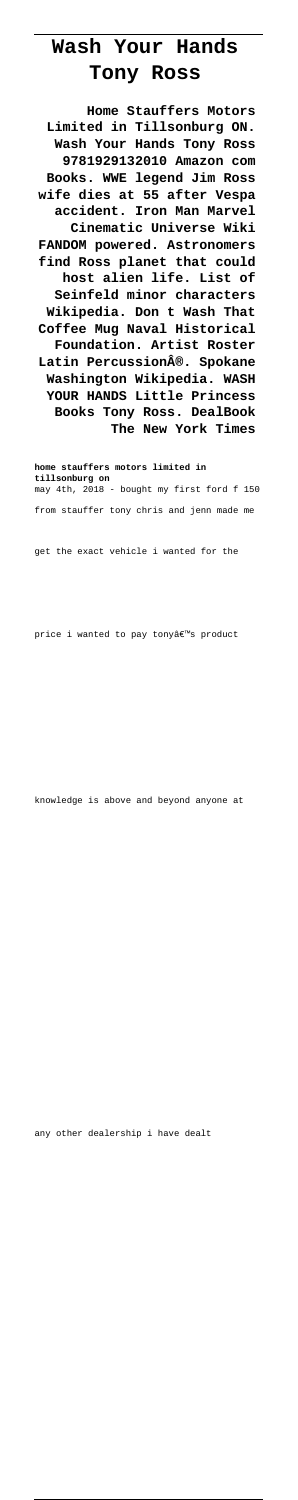## **Wash Your Hands Tony Ross**

**Home Stauffers Motors Limited in Tillsonburg ON. Wash Your Hands Tony Ross 9781929132010 Amazon com Books. WWE legend Jim Ross wife dies at 55 after Vespa accident. Iron Man Marvel Cinematic Universe Wiki FANDOM powered. Astronomers find Ross planet that could host alien life. List of Seinfeld minor characters Wikipedia. Don t Wash That Coffee Mug Naval Historical Foundation. Artist Roster Latin Percussion®. Spokane Washington Wikipedia. WASH YOUR HANDS Little Princess Books Tony Ross. DealBook The New York Times**

**home stauffers motors limited in tillsonburg on** may 4th, 2018 - bought my first ford f 150 from stauffer tony chris and jenn made me

get the exact vehicle i wanted for the

price i wanted to pay tonyâ€<sup>™</sup>s product

knowledge is above and beyond anyone at

any other dealership i have dealt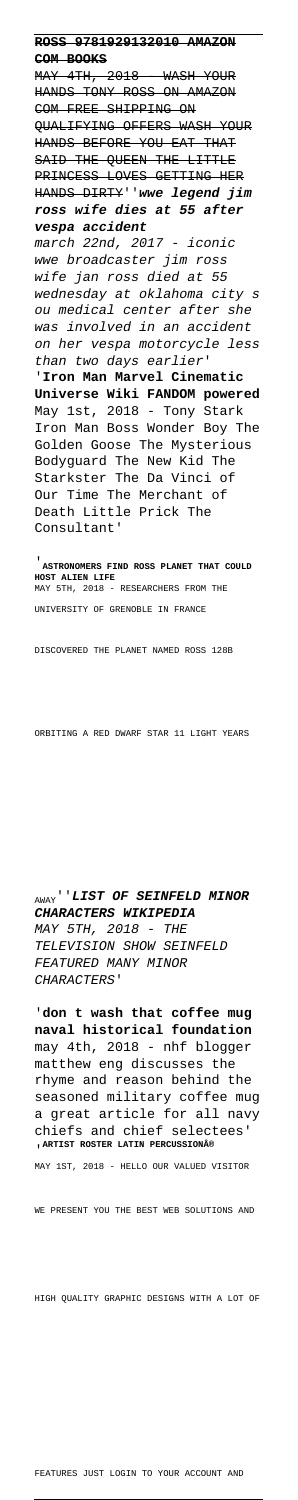**ROSS 9781929132010 AMAZON COM BOOKS** MAY 4TH, 2018 - WASH YOUR HANDS TONY ROSS ON AMAZON COM FREE SHIPPING ON QUALIFYING OFFERS WASH YOUR HANDS BEFORE YOU EAT THAT SAID THE QUEEN THE LITTLE PRINCESS LOVES GETTING HER HANDS DIRTY''**wwe legend jim ross wife dies at 55 after vespa accident** march 22nd, 2017 - iconic wwe broadcaster jim ross wife jan ross died at 55 wednesday at oklahoma city s ou medical center after she was involved in an accident on her vespa motorcycle less than two days earlier' '**Iron Man Marvel Cinematic Universe Wiki FANDOM powered** May 1st, 2018 - Tony Stark Iron Man Boss Wonder Boy The Golden Goose The Mysterious

## seasoned military coffee mug a great article for all navy chiefs and chief selectees' **ARTIST ROSTER LATIN PERCUSSION®**

Bodyguard The New Kid The

Starkster The Da Vinci of Our Time The Merchant of Death Little Prick The Consultant'

'**ASTRONOMERS FIND ROSS PLANET THAT COULD HOST ALIEN LIFE** MAY 5TH, 2018 - RESEARCHERS FROM THE UNIVERSITY OF GRENOBLE IN FRANCE

DISCOVERED THE PLANET NAMED ROSS 128B

ORBITING A RED DWARF STAR 11 LIGHT YEARS

AWAY''**LIST OF SEINFELD MINOR CHARACTERS WIKIPEDIA** MAY 5TH, 2018 - THE TELEVISION SHOW SEINFELD FEATURED MANY MINOR CHARACTERS'

'**don t wash that coffee mug naval historical foundation** may 4th, 2018 - nhf blogger matthew eng discusses the rhyme and reason behind the

MAY 1ST, 2018 - HELLO OUR VALUED VISITOR

WE PRESENT YOU THE BEST WEB SOLUTIONS AND

HIGH QUALITY GRAPHIC DESIGNS WITH A LOT OF

FEATURES JUST LOGIN TO YOUR ACCOUNT AND